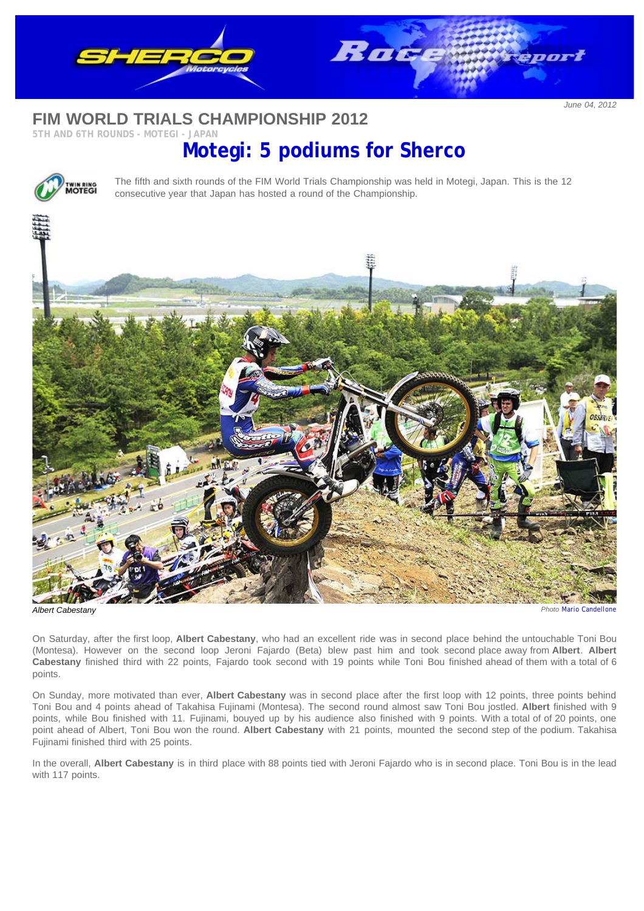

## **FIM WORLD TRIALS CHAMPIONSHIP 2012**

## **5TH AND 6TH ROUNDS - MOTEGI - JAPAN**

## **Motegi: 5 podiums for Sherco**



The fifth and sixth rounds of the FIM World Trials Championship was held in Motegi, Japan. This is the 12 consecutive year that Japan has hosted a round of the Championship.



On Saturday, after the first loop, **Albert Cabestany**, who had an excellent ride was in second place behind the untouchable Toni Bou (Montesa). However on the second loop Jeroni Fajardo (Beta) blew past him and took second place away from **Albert**. **Albert Cabestany** finished third with 22 points, Fajardo took second with 19 points while Toni Bou finished ahead of them with a total of 6 points.

On Sunday, more motivated than ever, **Albert Cabestany** was in second place after the first loop with 12 points, three points behind Toni Bou and 4 points ahead of Takahisa Fujinami (Montesa). The second round almost saw Toni Bou jostled. **Albert** finished with 9 points, while Bou finished with 11. Fujinami, bouyed up by his audience also finished with 9 points. With a total of of 20 points, one point ahead of Albert, Toni Bou won the round. **Albert Cabestany** with 21 points, mounted the second step of the podium. Takahisa Fujinami finished third with 25 points.

In the overall, **Albert Cabestany** is in third place with 88 points tied with Jeroni Fajardo who is in second place. Toni Bou is in the lead with 117 points.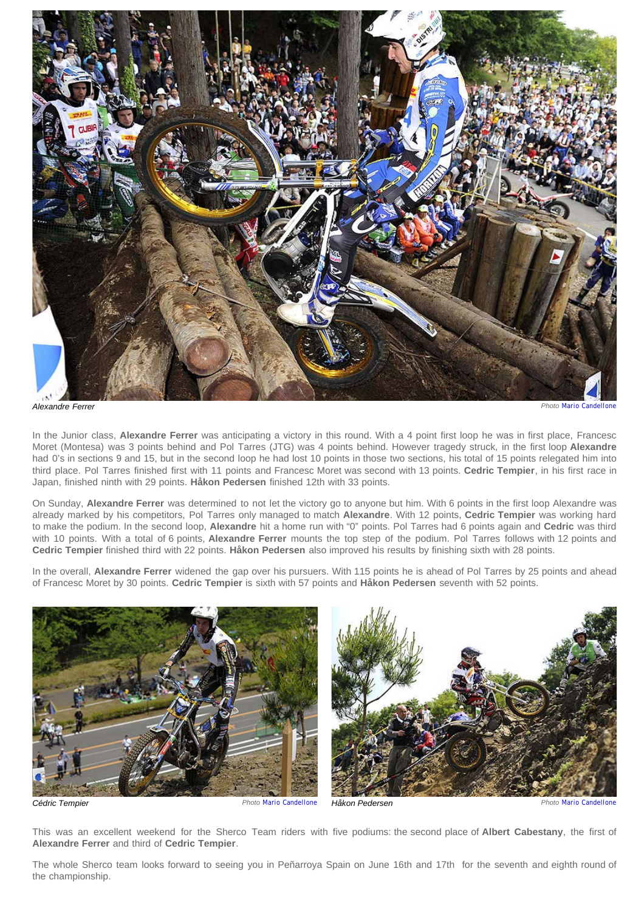

*Alexandre Ferrer Photo [Mario Candellone](http://www.phototrial.it/)*

In the Junior class, **Alexandre Ferrer** was anticipating a victory in this round. With a 4 point first loop he was in first place, Francesc Moret (Montesa) was 3 points behind and Pol Tarres (JTG) was 4 points behind. However tragedy struck, in the first loop **Alexandre** had 0's in sections 9 and 15, but in the second loop he had lost 10 points in those two sections, his total of 15 points relegated him into third place. Pol Tarres finished first with 11 points and Francesc Moret was second with 13 points. **Cedric Tempier**, in his first race in Japan, finished ninth with 29 points. **Håkon Pedersen** finished 12th with 33 points.

On Sunday, **Alexandre Ferrer** was determined to not let the victory go to anyone but him. With 6 points in the first loop Alexandre was already marked by his competitors, Pol Tarres only managed to match **Alexandre**. With 12 points, **Cedric Tempier** was working hard to make the podium. In the second loop, **Alexandre** hit a home run with "0" points. Pol Tarres had 6 points again and **Cedric** was third with 10 points. With a total of 6 points, **Alexandre Ferrer** mounts the top step of the podium. Pol Tarres follows with 12 points and **Cedric Tempier** finished third with 22 points. **Håkon Pedersen** also improved his results by finishing sixth with 28 points.

In the overall, **Alexandre Ferrer** widened the gap over his pursuers. With 115 points he is ahead of Pol Tarres by 25 points and ahead of Francesc Moret by 30 points. **Cedric Tempier** is sixth with 57 points and **Håkon Pedersen** seventh with 52 points.





*Cédric Tempier Photo [Mario Candellone](http://www.phototrial.it/) Håkon Pedersen Photo [Mario Candellone](http://www.phototrial.it/)*

This was an excellent weekend for the Sherco Team riders with five podiums: the second place of **Albert Cabestany**, the first of **Alexandre Ferrer** and third of **Cedric Tempier**.

The whole Sherco team looks forward to seeing you in Peñarroya Spain on June 16th and 17th for the seventh and eighth round of the championship.